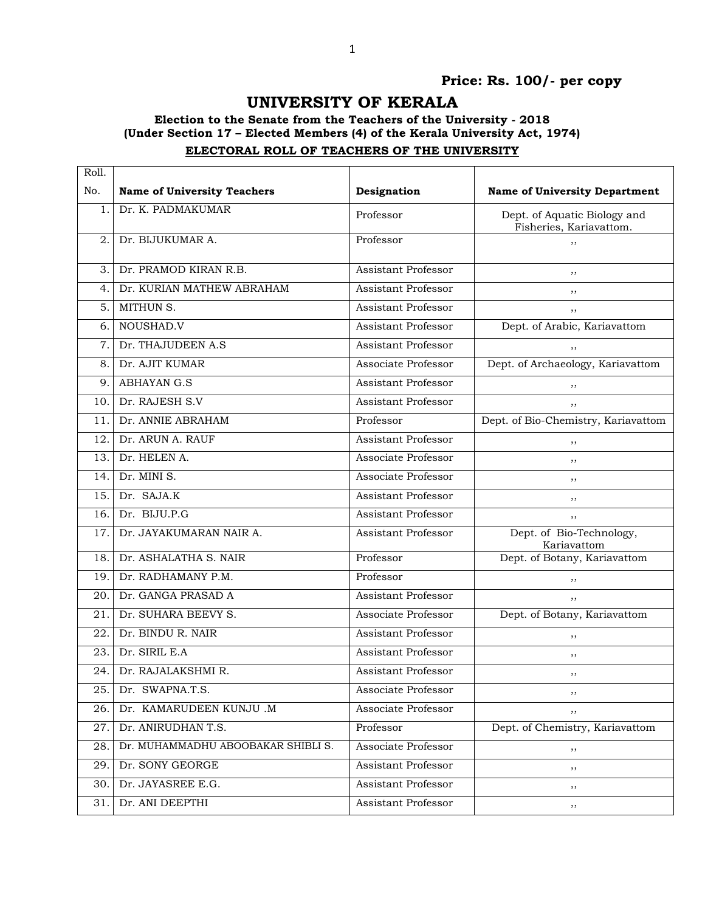## **Price: Rs. 100/- per copy**

# **UNIVERSITY OF KERALA**

#### **Election to the Senate from the Teachers of the University - 2018 (Under Section 17 – Elected Members (4) of the Kerala University Act, 1974) ELECTORAL ROLL OF TEACHERS OF THE UNIVERSITY**

| Roll. |                                    |                            |                                                         |
|-------|------------------------------------|----------------------------|---------------------------------------------------------|
| No.   | <b>Name of University Teachers</b> | Designation                | <b>Name of University Department</b>                    |
| 1.    | Dr. K. PADMAKUMAR                  | Professor                  | Dept. of Aquatic Biology and<br>Fisheries, Kariavattom. |
| 2.    | Dr. BIJUKUMAR A.                   | Professor                  | ,,                                                      |
| З.    | Dr. PRAMOD KIRAN R.B.              | Assistant Professor        | ,,                                                      |
| 4.    | Dr. KURIAN MATHEW ABRAHAM          | Assistant Professor        | ,,                                                      |
| 5.    | MITHUN S.                          | Assistant Professor        | ,,                                                      |
| 6.    | NOUSHAD.V                          | Assistant Professor        | Dept. of Arabic, Kariavattom                            |
| 7.    | Dr. THAJUDEEN A.S                  | <b>Assistant Professor</b> | , ,                                                     |
| 8.    | Dr. AJIT KUMAR                     | Associate Professor        | Dept. of Archaeology, Kariavattom                       |
| 9.    | <b>ABHAYAN G.S</b>                 | Assistant Professor        | , ,                                                     |
| 10.   | Dr. RAJESH S.V                     | <b>Assistant Professor</b> | ,,                                                      |
| 11.   | Dr. ANNIE ABRAHAM                  | Professor                  | Dept. of Bio-Chemistry, Kariavattom                     |
| 12.   | Dr. ARUN A. RAUF                   | <b>Assistant Professor</b> | ,,                                                      |
| 13.   | Dr. HELEN A.                       | Associate Professor        | ,,                                                      |
| 14.   | Dr. MINI S.                        | Associate Professor        | ,,                                                      |
| 15.   | Dr. SAJA.K                         | Assistant Professor        | ,,                                                      |
| 16.   | Dr. BIJU.P.G                       | Assistant Professor        | ,,                                                      |
| 17.   | Dr. JAYAKUMARAN NAIR A.            | Assistant Professor        | Dept. of Bio-Technology,<br>Kariavattom                 |
| 18.   | Dr. ASHALATHA S. NAIR              | Professor                  | Dept. of Botany, Kariavattom                            |
| 19.   | Dr. RADHAMANY P.M.                 | Professor                  | ,,                                                      |
| 20.   | Dr. GANGA PRASAD A                 | Assistant Professor        | ,,                                                      |
| 21.   | Dr. SUHARA BEEVY S.                | Associate Professor        | Dept. of Botany, Kariavattom                            |
| 22.   | Dr. BINDU R. NAIR                  | <b>Assistant Professor</b> | , ,                                                     |
| 23.   | Dr. SIRIL E.A                      | Assistant Professor        | ,,                                                      |
| 24.   | Dr. RAJALAKSHMI R.                 | <b>Assistant Professor</b> | ,,                                                      |
| 25.   | Dr. SWAPNA.T.S.                    | Associate Professor        | ,,                                                      |
| 26.   | Dr. KAMARUDEEN KUNJU .M            | Associate Professor        | ,,                                                      |
| 27.   | Dr. ANIRUDHAN T.S.                 | Professor                  | Dept. of Chemistry, Kariavattom                         |
| 28.   | Dr. MUHAMMADHU ABOOBAKAR SHIBLI S. | Associate Professor        | ,,                                                      |
| 29.   | Dr. SONY GEORGE                    | Assistant Professor        | $, \,$                                                  |
| 30.   | Dr. JAYASREE E.G.                  | Assistant Professor        | $, \,$                                                  |
| 31.   | Dr. ANI DEEPTHI                    | Assistant Professor        | ,,                                                      |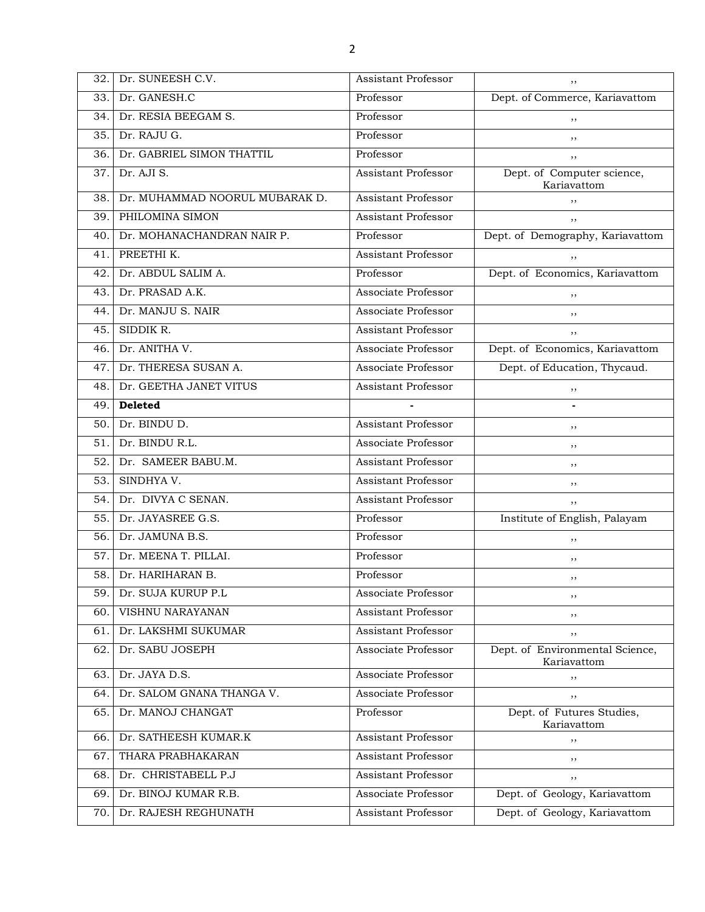| 32. | Dr. SUNEESH C.V.               | Assistant Professor        | ,,                                             |  |
|-----|--------------------------------|----------------------------|------------------------------------------------|--|
| 33. | Dr. GANESH.C                   | Professor                  | Dept. of Commerce, Kariavattom                 |  |
| 34. | Dr. RESIA BEEGAM S.            | Professor                  | ,,                                             |  |
| 35. | Dr. RAJU G.                    | Professor                  | ,,                                             |  |
| 36. | Dr. GABRIEL SIMON THATTIL      | Professor                  | ,,                                             |  |
| 37. | Dr. AJI S.                     | <b>Assistant Professor</b> | Dept. of Computer science,<br>Kariavattom      |  |
| 38. | Dr. MUHAMMAD NOORUL MUBARAK D. | <b>Assistant Professor</b> | ,,                                             |  |
| 39. | PHILOMINA SIMON                | <b>Assistant Professor</b> |                                                |  |
| 40. | Dr. MOHANACHANDRAN NAIR P.     | Professor                  | Dept. of Demography, Kariavattom               |  |
| 41. | PREETHI K.                     | <b>Assistant Professor</b> | ,,                                             |  |
| 42. | Dr. ABDUL SALIM A.             | Professor                  | Dept. of Economics, Kariavattom                |  |
| 43. | Dr. PRASAD A.K.                | Associate Professor        | ,,                                             |  |
| 44. | Dr. MANJU S. NAIR              | Associate Professor        | ,,                                             |  |
| 45. | SIDDIK R.                      | <b>Assistant Professor</b> | ,,                                             |  |
| 46. | Dr. ANITHA V.                  | Associate Professor        | Dept. of Economics, Kariavattom                |  |
| 47. | Dr. THERESA SUSAN A.           | Associate Professor        | Dept. of Education, Thycaud.                   |  |
| 48. | Dr. GEETHA JANET VITUS         | Assistant Professor        | ,,                                             |  |
| 49. | <b>Deleted</b>                 |                            |                                                |  |
| 50. | Dr. BINDU D.                   | Assistant Professor        | ,,                                             |  |
| 51. | Dr. BINDU R.L.                 | Associate Professor        | ,,                                             |  |
| 52. | Dr. SAMEER BABU.M.             | <b>Assistant Professor</b> | ,,                                             |  |
| 53. | SINDHYA V.                     | <b>Assistant Professor</b> | ,,                                             |  |
| 54. | Dr. DIVYA C SENAN.             | <b>Assistant Professor</b> | ,,                                             |  |
| 55. | Dr. JAYASREE G.S.              | Professor                  | Institute of English, Palayam                  |  |
| 56. | Dr. JAMUNA B.S.                | Professor                  | ,,                                             |  |
| 57. | Dr. MEENA T. PILLAI.           | Professor                  | ,,                                             |  |
| 58. | Dr. HARIHARAN B.               | Professor                  | ,,                                             |  |
| 59. | Dr. SUJA KURUP P.L             | Associate Professor        | ,,                                             |  |
| 60. | VISHNU NARAYANAN               | Assistant Professor        | ,,                                             |  |
| 61. | Dr. LAKSHMI SUKUMAR            | Assistant Professor        | ,,                                             |  |
| 62. | Dr. SABU JOSEPH                | Associate Professor        | Dept. of Environmental Science,<br>Kariavattom |  |
| 63. | Dr. JAYA D.S.                  | Associate Professor        | ,,                                             |  |
| 64. | Dr. SALOM GNANA THANGA V.      | Associate Professor        | ,,                                             |  |
| 65. | Dr. MANOJ CHANGAT              | Professor                  | Dept. of Futures Studies,<br>Kariavattom       |  |
| 66. | Dr. SATHEESH KUMAR.K           | Assistant Professor        | ,,                                             |  |
| 67. | THARA PRABHAKARAN              | <b>Assistant Professor</b> | ,,                                             |  |
| 68. | Dr. CHRISTABELL P.J            | <b>Assistant Professor</b> | ,,                                             |  |
| 69. | Dr. BINOJ KUMAR R.B.           | Associate Professor        | Dept. of Geology, Kariavattom                  |  |
| 70. | Dr. RAJESH REGHUNATH           | Assistant Professor        | Dept. of Geology, Kariavattom                  |  |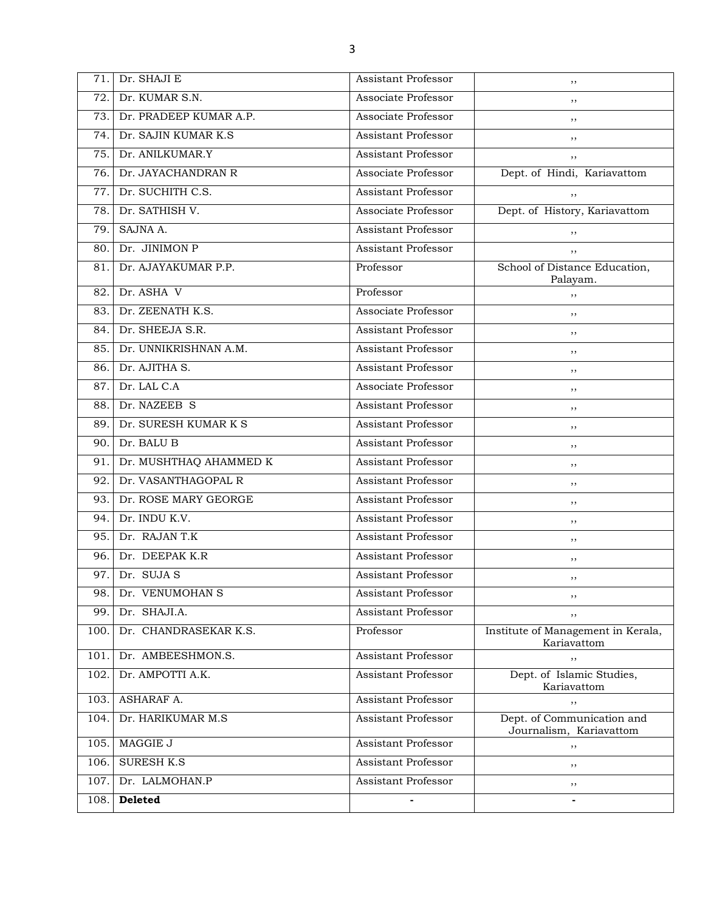| 71.  | Dr. SHAJI E            | <b>Assistant Professor</b> | ,,                                                    |
|------|------------------------|----------------------------|-------------------------------------------------------|
| 72.  | Dr. KUMAR S.N.         | Associate Professor        | ,,                                                    |
| 73.  | Dr. PRADEEP KUMAR A.P. | Associate Professor        | ,,                                                    |
| 74.  | Dr. SAJIN KUMAR K.S.   | Assistant Professor        | ,,                                                    |
| 75.  | Dr. ANILKUMAR.Y        | <b>Assistant Professor</b> | ,,                                                    |
| 76.  | Dr. JAYACHANDRAN R     | Associate Professor        | Dept. of Hindi, Kariavattom                           |
| 77.  | Dr. SUCHITH C.S.       | <b>Assistant Professor</b> | ,,                                                    |
| 78.  | Dr. SATHISH V.         | Associate Professor        | Dept. of History, Kariavattom                         |
| 79.  | SAJNA A.               | <b>Assistant Professor</b> | ,,                                                    |
| 80.  | Dr. JINIMON P          | <b>Assistant Professor</b> | ,,                                                    |
| 81.  | Dr. AJAYAKUMAR P.P.    | Professor                  | School of Distance Education,<br>Palayam.             |
| 82.  | Dr. ASHA V             | Professor                  | ,,                                                    |
| 83.  | Dr. ZEENATH K.S.       | Associate Professor        | ,,                                                    |
| 84.  | Dr. SHEEJA S.R.        | <b>Assistant Professor</b> | ,,                                                    |
| 85.  | Dr. UNNIKRISHNAN A.M.  | <b>Assistant Professor</b> | ,,                                                    |
| 86.  | Dr. AJITHA S.          | <b>Assistant Professor</b> | ,,                                                    |
| 87.  | Dr. LAL C.A            | Associate Professor        | ,,                                                    |
| 88.  | Dr. NAZEEB S           | <b>Assistant Professor</b> | ,,                                                    |
| 89.  | Dr. SURESH KUMAR K S   | <b>Assistant Professor</b> | ,,                                                    |
| 90.  | Dr. BALU B             | <b>Assistant Professor</b> | ,,                                                    |
| 91.  | Dr. MUSHTHAQ AHAMMED K | <b>Assistant Professor</b> | ,,                                                    |
| 92.  | Dr. VASANTHAGOPAL R    | <b>Assistant Professor</b> | ,,                                                    |
| 93.  | Dr. ROSE MARY GEORGE   | <b>Assistant Professor</b> | ,,                                                    |
| 94.  | Dr. INDU K.V.          | <b>Assistant Professor</b> | ,,                                                    |
| 95.  | Dr. RAJAN T.K          | <b>Assistant Professor</b> | ,,                                                    |
| 96.  | Dr. DEEPAK K.R         | <b>Assistant Professor</b> | ,,                                                    |
| 97.  | Dr. SUJA S             | <b>Assistant Professor</b> | ,,                                                    |
| 98.  | Dr. VENUMOHAN S        | Assistant Professor        | ,,                                                    |
| 99.  | Dr. SHAJI.A.           | Assistant Professor        | ,,                                                    |
| 100. | Dr. CHANDRASEKAR K.S.  | Professor                  | Institute of Management in Kerala,<br>Kariavattom     |
| 101. | Dr. AMBEESHMON.S.      | Assistant Professor        | ,,                                                    |
| 102. | Dr. AMPOTTI A.K.       | Assistant Professor        | Dept. of Islamic Studies,<br>Kariavattom              |
| 103. | ASHARAF A.             | <b>Assistant Professor</b> | ,,                                                    |
| 104. | Dr. HARIKUMAR M.S      | Assistant Professor        | Dept. of Communication and<br>Journalism, Kariavattom |
| 105. | MAGGIE J               | <b>Assistant Professor</b> | $, \,$                                                |
| 106. | <b>SURESH K.S</b>      | Assistant Professor        | ,,                                                    |
| 107. | Dr. LALMOHAN.P         | Assistant Professor        | $, \,$                                                |
| 108. | Deleted                |                            |                                                       |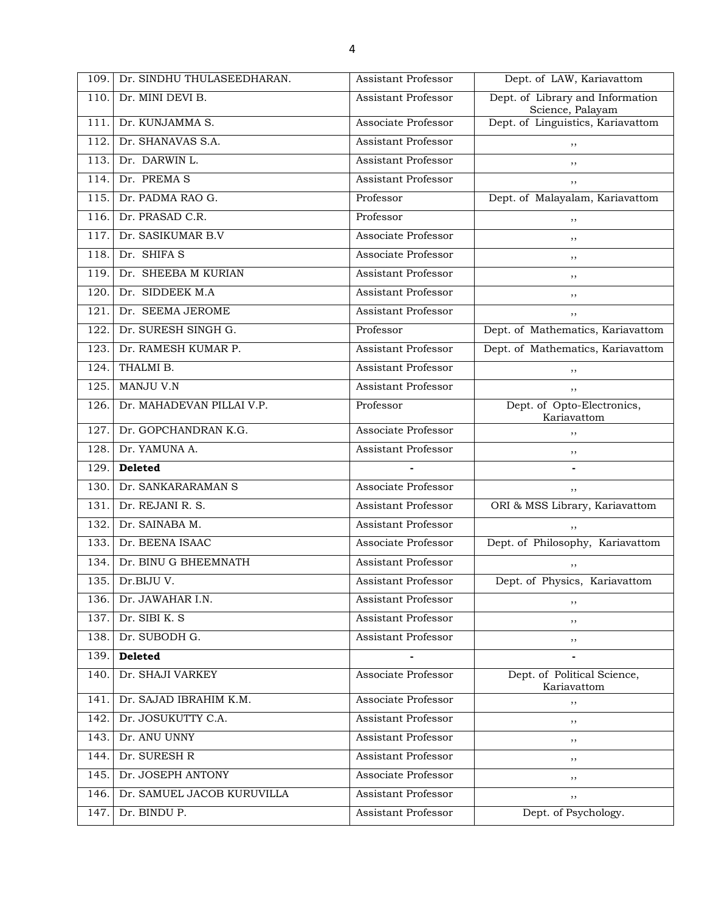| 109. | Dr. SINDHU THULASEEDHARAN. | <b>Assistant Professor</b> | Dept. of LAW, Kariavattom                            |  |
|------|----------------------------|----------------------------|------------------------------------------------------|--|
| 110. | Dr. MINI DEVI B.           | Assistant Professor        | Dept. of Library and Information<br>Science, Palayam |  |
| 111. | Dr. KUNJAMMA S.            | Associate Professor        | Dept. of Linguistics, Kariavattom                    |  |
| 112. | Dr. SHANAVAS S.A.          | <b>Assistant Professor</b> | ,,                                                   |  |
| 113. | Dr. DARWIN L.              | <b>Assistant Professor</b> | ,,                                                   |  |
| 114. | Dr. PREMAS                 | <b>Assistant Professor</b> | ,,                                                   |  |
| 115. | Dr. PADMA RAO G.           | Professor                  | Dept. of Malayalam, Kariavattom                      |  |
| 116. | Dr. PRASAD C.R.            | Professor                  | ,,                                                   |  |
| 117. | Dr. SASIKUMAR B.V          | Associate Professor        | ,,                                                   |  |
| 118. | Dr. SHIFA S                | Associate Professor        | ,,                                                   |  |
| 119. | Dr. SHEEBA M KURIAN        | Assistant Professor        | ,,                                                   |  |
| 120. | Dr. SIDDEEK M.A            | <b>Assistant Professor</b> | ,,                                                   |  |
| 121. | Dr. SEEMA JEROME           | <b>Assistant Professor</b> | ,,                                                   |  |
| 122. | Dr. SURESH SINGH G.        | Professor                  | Dept. of Mathematics, Kariavattom                    |  |
| 123. | Dr. RAMESH KUMAR P.        | <b>Assistant Professor</b> | Dept. of Mathematics, Kariavattom                    |  |
| 124. | THALMI B.                  | <b>Assistant Professor</b> | ,,                                                   |  |
| 125. | MANJU V.N                  | <b>Assistant Professor</b> | ,,                                                   |  |
| 126. | Dr. MAHADEVAN PILLAI V.P.  | Professor                  | Dept. of Opto-Electronics,<br>Kariavattom            |  |
| 127. | Dr. GOPCHANDRAN K.G.       | Associate Professor        | ,,                                                   |  |
| 128. | Dr. YAMUNA A.              | <b>Assistant Professor</b> | ,,                                                   |  |
|      |                            |                            |                                                      |  |
| 129. | <b>Deleted</b>             |                            | $\qquad \qquad \blacksquare$                         |  |
| 130. | Dr. SANKARARAMAN S         | Associate Professor        | ,,                                                   |  |
| 131. | Dr. REJANI R. S.           | <b>Assistant Professor</b> | ORI & MSS Library, Kariavattom                       |  |
| 132. | Dr. SAINABA M.             | <b>Assistant Professor</b> | ,,                                                   |  |
| 133. | Dr. BEENA ISAAC            | Associate Professor        | Dept. of Philosophy, Kariavattom                     |  |
| 134. | Dr. BINU G BHEEMNATH       | <b>Assistant Professor</b> |                                                      |  |
| 135. | Dr.BIJU V.                 | Assistant Professor        | Dept. of Physics, Kariavattom                        |  |
| 136. | Dr. JAWAHAR I.N.           | Assistant Professor        | ,,                                                   |  |
| 137. | Dr. SIBI K. S              | <b>Assistant Professor</b> | $, \,$                                               |  |
| 138. | Dr. SUBODH G.              | <b>Assistant Professor</b> | ,,                                                   |  |
| 139. | <b>Deleted</b>             |                            |                                                      |  |
| 140. | Dr. SHAJI VARKEY           | Associate Professor        | Dept. of Political Science,<br>Kariavattom           |  |
| 141. | Dr. SAJAD IBRAHIM K.M.     | Associate Professor        | ,,                                                   |  |
| 142. | Dr. JOSUKUTTY C.A.         | <b>Assistant Professor</b> | ,,                                                   |  |
| 143. | Dr. ANU UNNY               | <b>Assistant Professor</b> | ,,                                                   |  |
| 144. | Dr. SURESH R               | <b>Assistant Professor</b> | $, \,$                                               |  |
| 145. | Dr. JOSEPH ANTONY          | Associate Professor        | ,,                                                   |  |
| 146. | Dr. SAMUEL JACOB KURUVILLA | <b>Assistant Professor</b> | ,,                                                   |  |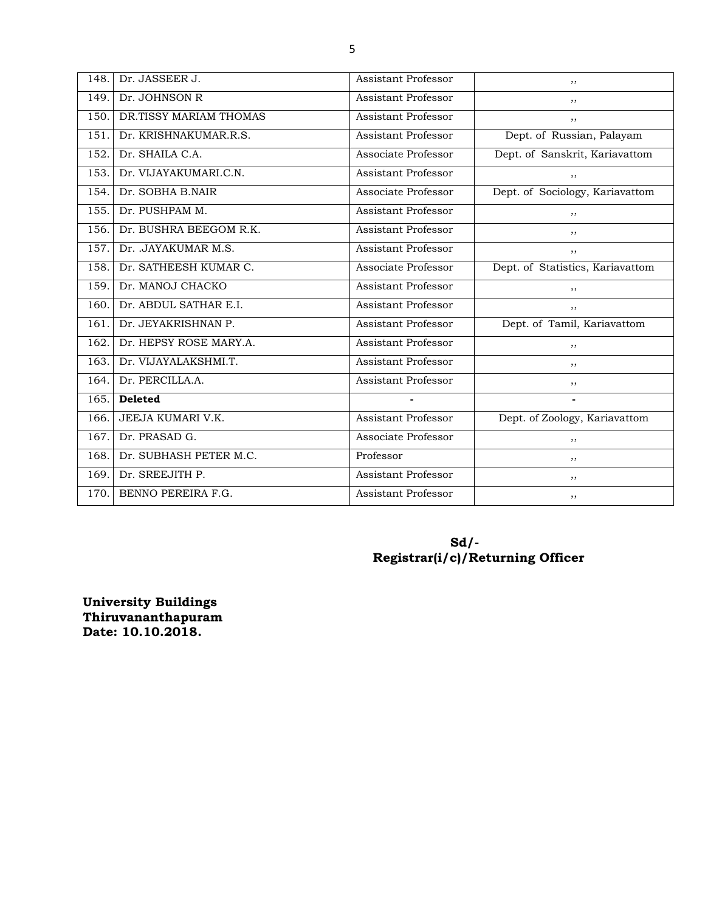| 148. | Dr. JASSEER J.         | <b>Assistant Professor</b> | ,,                               |
|------|------------------------|----------------------------|----------------------------------|
| 149. | Dr. JOHNSON R          | Assistant Professor        | ,,                               |
| 150. | DR.TISSY MARIAM THOMAS | <b>Assistant Professor</b> | ,,                               |
| 151. | Dr. KRISHNAKUMAR.R.S.  | Assistant Professor        | Dept. of Russian, Palayam        |
| 152. | Dr. SHAILA C.A.        | Associate Professor        | Dept. of Sanskrit, Kariavattom   |
| 153. | Dr. VIJAYAKUMARI.C.N.  | Assistant Professor        | , ,                              |
| 154. | Dr. SOBHA B.NAIR       | Associate Professor        | Dept. of Sociology, Kariavattom  |
| 155. | Dr. PUSHPAM M.         | Assistant Professor        | ,,                               |
| 156. | Dr. BUSHRA BEEGOM R.K. | Assistant Professor        | ,,                               |
| 157. | Dr. .JAYAKUMAR M.S.    | Assistant Professor        | ,,                               |
| 158. | Dr. SATHEESH KUMAR C.  | Associate Professor        | Dept. of Statistics, Kariavattom |
| 159. | Dr. MANOJ CHACKO       | Assistant Professor        | ,,                               |
| 160. | Dr. ABDUL SATHAR E.I.  | Assistant Professor        | ,,                               |
| 161. | Dr. JEYAKRISHNAN P.    | Assistant Professor        | Dept. of Tamil, Kariavattom      |
| 162. | Dr. HEPSY ROSE MARY.A. | Assistant Professor        | ,,                               |
| 163. | Dr. VIJAYALAKSHMI.T.   | Assistant Professor        | ,,                               |
| 164. | Dr. PERCILLA.A.        | <b>Assistant Professor</b> | ,,                               |
| 165. | <b>Deleted</b>         |                            |                                  |
| 166. | JEEJA KUMARI V.K.      | <b>Assistant Professor</b> | Dept. of Zoology, Kariavattom    |
| 167. | Dr. PRASAD G.          | Associate Professor        | ,,                               |
| 168. | Dr. SUBHASH PETER M.C. | Professor                  | ,,                               |
| 169. | Dr. SREEJITH P.        | Assistant Professor        | ,,                               |
| 170. | BENNO PEREIRA F.G.     | Assistant Professor        | ,,                               |

#### **Sd/- Registrar(i/c)/Returning Officer**

**University Buildings Thiruvananthapuram Date: 10.10.2018.**